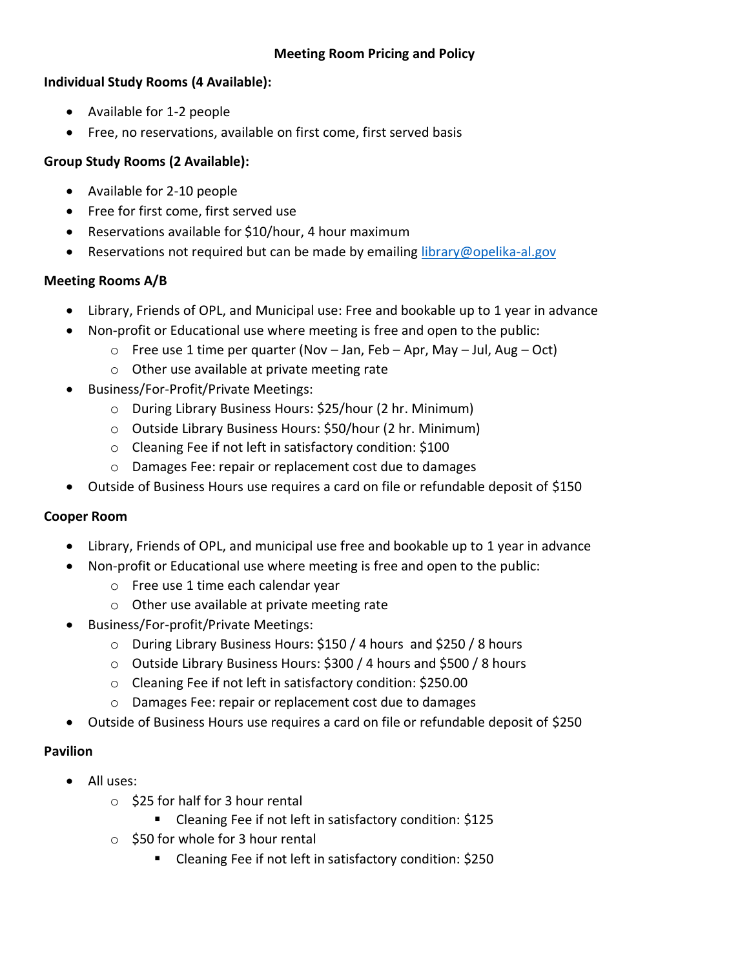# **Meeting Room Pricing and Policy**

## **Individual Study Rooms (4 Available):**

- Available for 1-2 people
- Free, no reservations, available on first come, first served basis

## **Group Study Rooms (2 Available):**

- Available for 2-10 people
- Free for first come, first served use
- Reservations available for \$10/hour, 4 hour maximum
- **•** Reservations not required but can be made by emailing [library@opelika-al.gov](mailto:library@opelika-al.gov)

#### **Meeting Rooms A/B**

- Library, Friends of OPL, and Municipal use: Free and bookable up to 1 year in advance
- Non-profit or Educational use where meeting is free and open to the public:
	- $\circ$  Free use 1 time per quarter (Nov Jan, Feb Apr, May Jul, Aug Oct)
	- o Other use available at private meeting rate
- Business/For-Profit/Private Meetings:
	- o During Library Business Hours: \$25/hour (2 hr. Minimum)
	- o Outside Library Business Hours: \$50/hour (2 hr. Minimum)
	- o Cleaning Fee if not left in satisfactory condition: \$100
	- o Damages Fee: repair or replacement cost due to damages
- Outside of Business Hours use requires a card on file or refundable deposit of \$150

#### **Cooper Room**

- Library, Friends of OPL, and municipal use free and bookable up to 1 year in advance
- Non-profit or Educational use where meeting is free and open to the public:
	- o Free use 1 time each calendar year
	- o Other use available at private meeting rate
- Business/For-profit/Private Meetings:
	- o During Library Business Hours: \$150 / 4 hours and \$250 / 8 hours
	- o Outside Library Business Hours: \$300 / 4 hours and \$500 / 8 hours
	- o Cleaning Fee if not left in satisfactory condition: \$250.00
	- o Damages Fee: repair or replacement cost due to damages
- Outside of Business Hours use requires a card on file or refundable deposit of \$250

#### **Pavilion**

- All uses:
	- $\circ$  \$25 for half for 3 hour rental
		- Cleaning Fee if not left in satisfactory condition: \$125
	- o \$50 for whole for 3 hour rental
		- Cleaning Fee if not left in satisfactory condition: \$250